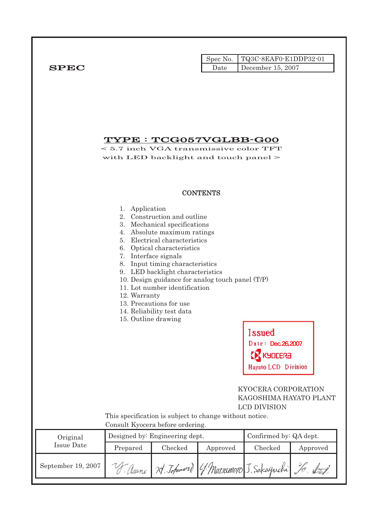| <b>SPEC</b>                   | TYPE : TCG057VGLBB-G00<br>$< 5.7$ inch VGA transmissive color TFT                                      |                                                                                                                                                                                                                                                                                                                                                                               | Spec No.<br>Date | TQ3C-8EAF0-E1DDP32-01<br>December 15, 2007                                                  |          |
|-------------------------------|--------------------------------------------------------------------------------------------------------|-------------------------------------------------------------------------------------------------------------------------------------------------------------------------------------------------------------------------------------------------------------------------------------------------------------------------------------------------------------------------------|------------------|---------------------------------------------------------------------------------------------|----------|
|                               | with LED backlight and touch panel >                                                                   |                                                                                                                                                                                                                                                                                                                                                                               | <b>CONTENTS</b>  |                                                                                             |          |
|                               | 1. Application<br>7. Interface signals<br>12. Warranty<br>15. Outline drawing                          | 2. Construction and outline<br>3. Mechanical specifications<br>4. Absolute maximum ratings<br>5. Electrical characteristics<br>6. Optical characteristics<br>8. Input timing characteristics<br>9. LED backlight characteristics<br>10. Design guidance for analog touch panel (T/P)<br>11. Lot number identification<br>13. Precautions for use<br>14. Reliability test data |                  | <b>Issued</b><br>Date: Dec.26,2007<br>KYDCERa<br>Hayato LCD Division<br>KYOCERA CORPORATION |          |
|                               | This specification is subject to change without notice.                                                | Consult Kyocera before ordering.                                                                                                                                                                                                                                                                                                                                              |                  | KAGOSHIMA HAYATO PLANT<br><b>LCD DIVISION</b>                                               |          |
| Original<br><b>Issue Date</b> | Confirmed by: QA dept.<br>Designed by: Engineering dept.<br>Checked<br>Prepared<br>Checked<br>Approved |                                                                                                                                                                                                                                                                                                                                                                               |                  |                                                                                             | Approved |
| September 19, 2007            |                                                                                                        |                                                                                                                                                                                                                                                                                                                                                                               |                  | V-Asanc 70 Johnword G. Marsonvoo J. Sakaguchi J. Staf                                       |          |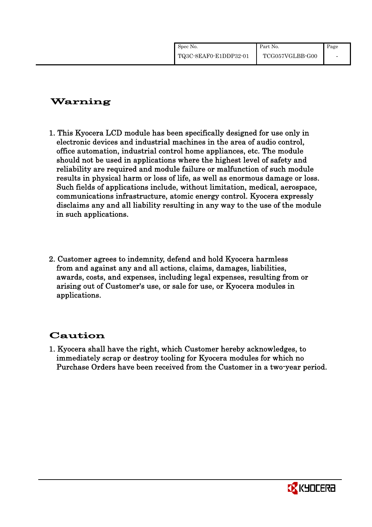| Spec No.              | Part No.        | Page |
|-----------------------|-----------------|------|
| TQ3C-8EAF0-E1DDP32-01 | TCG057VGLBB-G00 |      |

# Warning

- 1. This Kyocera LCD module has been specifically designed for use only in electronic devices and industrial machines in the area of audio control, office automation, industrial control home appliances, etc. The module should not be used in applications where the highest level of safety and reliability are required and module failure or malfunction of such module results in physical harm or loss of life, as well as enormous damage or loss. Such fields of applications include, without limitation, medical, aerospace, communications infrastructure, atomic energy control. Kyocera expressly disclaims any and all liability resulting in any way to the use of the module in such applications.
- 2. Customer agrees to indemnity, defend and hold Kyocera harmless from and against any and all actions, claims, damages, liabilities, awards, costs, and expenses, including legal expenses, resulting from or arising out of Customer's use, or sale for use, or Kyocera modules in applications.

# Caution

1. Kyocera shall have the right, which Customer hereby acknowledges, to immediately scrap or destroy tooling for Kyocera modules for which no Purchase Orders have been received from the Customer in a two-year period.

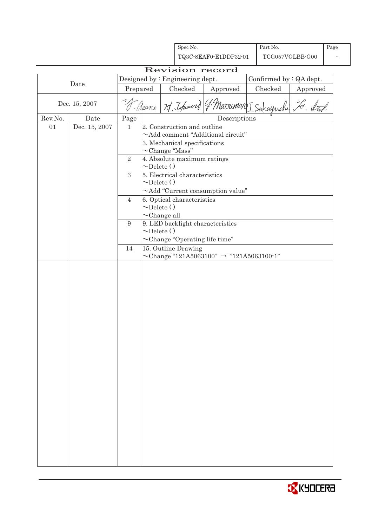|         |               |                |                                                           |  | Spec No.                      |                                                        |  | Part No. |                 | Page |
|---------|---------------|----------------|-----------------------------------------------------------|--|-------------------------------|--------------------------------------------------------|--|----------|-----------------|------|
|         |               |                |                                                           |  |                               | TQ3C-8EAF0-E1DDP32-01                                  |  |          | TCG057VGLBB-G00 |      |
|         |               |                |                                                           |  |                               | Revision record                                        |  |          |                 |      |
|         | Date          |                | Designed by : Engineering dept.                           |  | Confirmed by : QA dept.       |                                                        |  |          |                 |      |
|         |               | Prepared       |                                                           |  | Checked                       | Approved                                               |  | Checked  | Approved        |      |
|         | Dec. 15, 2007 |                |                                                           |  |                               | S- Nanc 7d. Johnword (f. Marsemotoj, Sakaguchi 20. Nat |  |          |                 |      |
| Rev.No. | Date          | Page           |                                                           |  |                               | Descriptions                                           |  |          |                 |      |
| 01      | Dec. 15, 2007 | $\mathbf{1}$   |                                                           |  | 2. Construction and outline   |                                                        |  |          |                 |      |
|         |               |                |                                                           |  | 3. Mechanical specifications  | $\sim$ Add comment "Additional circuit"                |  |          |                 |      |
|         |               |                |                                                           |  | $\sim$ Change "Mass"          |                                                        |  |          |                 |      |
|         |               | $\sqrt{2}$     |                                                           |  | 4. Absolute maximum ratings   |                                                        |  |          |                 |      |
|         |               |                | $\sim$ Delete ()                                          |  |                               |                                                        |  |          |                 |      |
|         |               | $\mathbf{3}$   |                                                           |  | 5. Electrical characteristics |                                                        |  |          |                 |      |
|         |               |                | $\sim$ Delete ()                                          |  |                               | $\sim$ Add "Current consumption value"                 |  |          |                 |      |
|         |               | $\overline{4}$ |                                                           |  | 6. Optical characteristics    |                                                        |  |          |                 |      |
|         |               |                | $\sim$ Delete ()                                          |  |                               |                                                        |  |          |                 |      |
|         |               |                | $\sim$ Change all                                         |  |                               |                                                        |  |          |                 |      |
|         |               | 9              | $\sim$ Delete ()                                          |  |                               | 9. LED backlight characteristics                       |  |          |                 |      |
|         |               |                |                                                           |  |                               | $\sim$ Change "Operating life time"                    |  |          |                 |      |
|         |               | 14             |                                                           |  | 15. Outline Drawing           |                                                        |  |          |                 |      |
|         |               |                | $\sim$ Change "121A5063100" $\rightarrow$ "121A5063100-1" |  |                               |                                                        |  |          |                 |      |
|         |               |                |                                                           |  |                               |                                                        |  |          |                 |      |
|         |               |                |                                                           |  |                               |                                                        |  |          |                 |      |
|         |               |                |                                                           |  |                               |                                                        |  |          |                 |      |
|         |               |                |                                                           |  |                               |                                                        |  |          |                 |      |
|         |               |                |                                                           |  |                               |                                                        |  |          |                 |      |
|         |               |                |                                                           |  |                               |                                                        |  |          |                 |      |
|         |               |                |                                                           |  |                               |                                                        |  |          |                 |      |
|         |               |                |                                                           |  |                               |                                                        |  |          |                 |      |
|         |               |                |                                                           |  |                               |                                                        |  |          |                 |      |
|         |               |                |                                                           |  |                               |                                                        |  |          |                 |      |
|         |               |                |                                                           |  |                               |                                                        |  |          |                 |      |
|         |               |                |                                                           |  |                               |                                                        |  |          |                 |      |
|         |               |                |                                                           |  |                               |                                                        |  |          |                 |      |
|         |               |                |                                                           |  |                               |                                                        |  |          |                 |      |
|         |               |                |                                                           |  |                               |                                                        |  |          |                 |      |
|         |               |                |                                                           |  |                               |                                                        |  |          |                 |      |
|         |               |                |                                                           |  |                               |                                                        |  |          |                 |      |
|         |               |                |                                                           |  |                               |                                                        |  |          |                 |      |
|         |               |                |                                                           |  |                               |                                                        |  |          |                 |      |
|         |               |                |                                                           |  |                               |                                                        |  |          |                 |      |
|         |               |                |                                                           |  |                               |                                                        |  |          |                 |      |
|         |               |                |                                                           |  |                               |                                                        |  |          |                 |      |

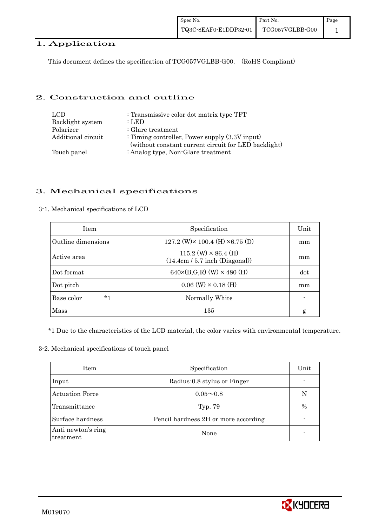## 1. Application

This document defines the specification of TCG057VGLBB-G00. (RoHS Compliant)

#### 2. Construction and outline

| LCD.<br>Backlight system | : Transmissive color dot matrix type TFT<br>: LED    |
|--------------------------|------------------------------------------------------|
| Polarizer                | $\therefore$ Glare treatment                         |
| Additional circuit       | : Timing controller, Power supply $(3.3V)$ input)    |
|                          | (without constant current circuit for LED backlight) |
| Touch panel              | : Analog type, Non-Glare treatment                   |

## 3. Mechanical specifications

#### 3-1. Mechanical specifications of LCD

| <b>Item</b>        | Specification                                                   | Unit |
|--------------------|-----------------------------------------------------------------|------|
| Outline dimensions | 127.2 (W) $\times$ 100.4 (H) $\times$ 6.75 (D)                  | mm   |
| Active area        | $115.2$ (W) $\times$ 86.4 (H)<br>(14.4cm / 5.7 inch (Diagonal)) | mm   |
| Dot format         | $640 \times (B,G,R)$ (W) $\times 480$ (H)                       | dot  |
| Dot pitch          | $0.06$ (W) $\times$ 0.18 (H)                                    | mm   |
| $*1$<br>Base color | Normally White                                                  |      |
| Mass               | 135                                                             | g    |

\*1 Due to the characteristics of the LCD material, the color varies with environmental temperature.

#### 3-2. Mechanical specifications of touch panel

| Item                            | Specification                        | Unit |
|---------------------------------|--------------------------------------|------|
| Input                           | Radius-0.8 stylus or Finger          |      |
| <b>Actuation Force</b>          | $0.05 \sim 0.8$                      | N    |
| Transmittance                   | Typ. 79                              | $\%$ |
| Surface hardness                | Pencil hardness 2H or more according |      |
| Anti newton's ring<br>treatment | None                                 |      |

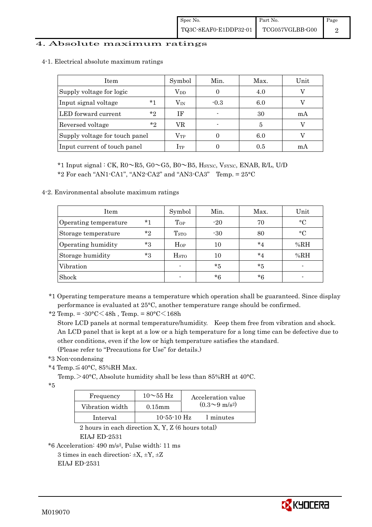### 4. Absolute maximum ratings

| Item                           | Symbol       | Min.   | Max. | Unit |
|--------------------------------|--------------|--------|------|------|
| Supply voltage for logic       | $\rm V_{DD}$ |        | 4.0  |      |
| $*1$<br>Input signal voltage   | $\rm V_{IN}$ | $-0.3$ | 6.0  |      |
| $*_{2}$<br>LED forward current | ΙF           |        | 30   | mA   |
| $*_{2}$<br>Reversed voltage    | VR           |        | 5    |      |
| Supply voltage for touch panel | $\rm V_{TP}$ |        | 6.0  |      |
| Input current of touch panel   | $I_{TP}$     |        | 0.5  | mA   |

4-1. Electrical absolute maximum ratings

 \*1 Input signal : CK, R0~R5, G0~G5, B0~B5, HSYNC, VSYNC, ENAB, R/L, U/D \*2 For each "AN1-CA1", "AN2-CA2" and "AN3-CA3" Temp.  $= 25^{\circ}$ C

4-2. Environmental absolute maximum ratings

| Item                  |       | Symbol           | Min.  | Max.    | Unit        |
|-----------------------|-------|------------------|-------|---------|-------------|
| Operating temperature | $*1$  | Top              | $-20$ | 70      | $^{\circ}C$ |
| Storage temperature   | $*$ ? | T <sub>STO</sub> | $-30$ | 80      | $^{\circ}C$ |
| Operating humidity    | $*3$  | $H_{OP}$         | 10    | $*_{4}$ | %RH         |
| Storage humidity      | $*3$  | H <sub>STO</sub> | 10    | $*_{4}$ | %RH         |
| Vibration             |       |                  | *5    | *5      |             |
| Shock                 |       |                  | *6    | $*6$    |             |

\*1 Operating temperature means a temperature which operation shall be guaranteed. Since display performance is evaluated at 25°C, another temperature range should be confirmed.

\*2 Temp. = -30°C<48h , Temp. = 80°C<168h

 Store LCD panels at normal temperature/humidity. Keep them free from vibration and shock. An LCD panel that is kept at a low or a high temperature for a long time can be defective due to other conditions, even if the low or high temperature satisfies the standard. (Please refer to "Precautions for Use" for details.)

\*3 Non-condensing

\*4 Temp.≦40°C, 85%RH Max.

Temp. >40°C, Absolute humidity shall be less than 85%RH at 40°C.

 $*5$ 

| Frequency       | $10\sim 55$ Hz    | Acceleration value           |
|-----------------|-------------------|------------------------------|
| Vibration width | $0.15$ mm         | $(0.3 \sim 9 \text{ m/s}^2)$ |
| Interval        | $10 - 55 - 10$ Hz | l minutes                    |

 2 hours in each direction X, Y, Z (6 hours total) EIAJ ED-2531

\*6 Acceleration: 490 m/s2, Pulse width: 11 ms

3 times in each direction:  $\pm X$ ,  $\pm Y$ ,  $\pm Z$ EIAJ ED-2531

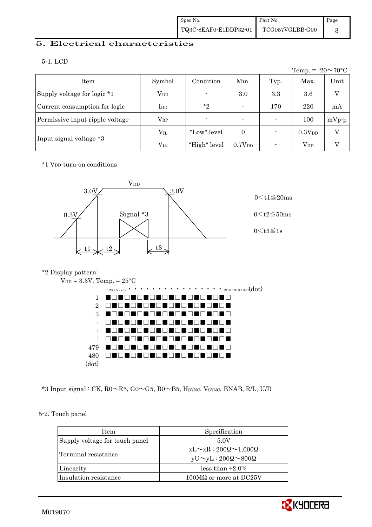### 5. Electrical characteristics

|                                 |                 |                |                    |      | Temp. = $-20 \sim 70$ °C |          |
|---------------------------------|-----------------|----------------|--------------------|------|--------------------------|----------|
| Item                            | Symbol          | Condition      | Min.               | Typ. | Max.                     | Unit     |
| Supply voltage for logic *1     | $\rm V_{DD}$    | $\blacksquare$ | 3.0                | 3.3  | $3.6\,$                  | $\rm _V$ |
| Current consumption for logic   | $_{\rm{LDD}}$   | $*_{2}$        |                    | 170  | 220                      | mA       |
| Permissive input ripple voltage | $\rm V_{RP}$    | $\blacksquare$ | $\blacksquare$     |      | 100                      | $mVp-p$  |
|                                 | $\rm V_{II}$    | "Low" level    | $\Omega$           |      | 0.3V <sub>DD</sub>       | V        |
| Input signal voltage *3         | V <sub>IH</sub> | "High" level   | 0.7V <sub>DD</sub> |      | <b>V</b> <sub>DD</sub>   | V        |

\*1 VDD-turn-on conditions



#### \*2 Display pattern:



\*3 Input signal : CK,  $R0 \sim R5$ ,  $G0 \sim G5$ ,  $B0 \sim B5$ , Hsync, Vsync, ENAB, R/L, U/D

### 5-2. Touch panel

| <b>Item</b>                    | Specification                             |
|--------------------------------|-------------------------------------------|
| Supply voltage for touch panel | 5.0V                                      |
|                                | $xL \sim xR : 200\Omega \sim 1,000\Omega$ |
| Terminal resistance            | $yU \sim yL : 200\Omega \sim 800\Omega$   |
| Linearity                      | less than $\pm 2.0\%$                     |
| Insulation resistance          | $100\text{M}\Omega$ or more at DC25V      |

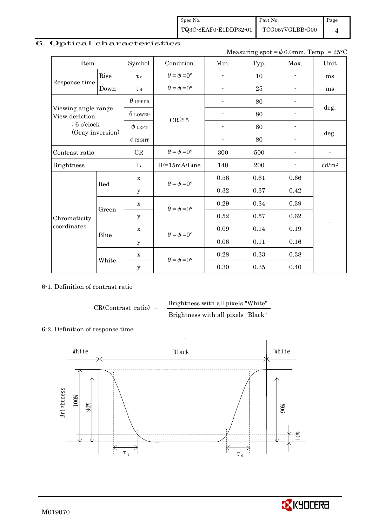Spec No. TQ3C-8EAF0-E1DDP32-01 Part No. TCG057VGLBB-G00

Page

4

# 6. Optical characteristics

Measuring spot =  $\phi$  6.0mm, Temp. = 25°C

| Item                                  |       | Symbol         | Condition                   | Min.                     | Typ. | Max.                     | Unit              |
|---------------------------------------|-------|----------------|-----------------------------|--------------------------|------|--------------------------|-------------------|
|                                       | Rise  | $\tau_r$       | $\theta = \phi = 0^{\circ}$ | $\overline{a}$           | 10   | $\blacksquare$           | ms                |
| Response time                         | Down  | $\tau$ d       | $\theta = \phi = 0^{\circ}$ | $\overline{\phantom{0}}$ | 25   | $\blacksquare$           | ms                |
|                                       |       | $\theta$ upper |                             | -                        | 80   |                          |                   |
| Viewing angle range<br>View deriction |       | $\theta$ LOWER | $CR \ge 5$                  |                          | 80   |                          | deg.              |
| $: 6$ o'clock                         |       | $\phi$ left    |                             | $\overline{\phantom{0}}$ | 80   |                          |                   |
| (Gray inversion)                      |       | $\phi$ RIGHT   |                             | $\overline{\phantom{a}}$ | 80   | $\overline{\phantom{a}}$ | deg.              |
| Contrast ratio                        |       | $\rm CR$       | $\theta = \phi = 0^{\circ}$ | 300                      | 500  |                          | $\blacksquare$    |
| <b>Brightness</b>                     |       |                | IF=15mA/Line                | 140                      | 200  |                          | cd/m <sup>2</sup> |
|                                       | Red   | $\mathbf X$    | $\theta = \phi = 0^{\circ}$ | 0.56                     | 0.61 | $0.66\,$                 |                   |
|                                       |       | У              |                             | 0.32                     | 0.37 | 0.42                     |                   |
|                                       |       | $\mathbf X$    | $\theta = \phi = 0^{\circ}$ | 0.29                     | 0.34 | 0.39                     |                   |
| Chromaticity                          | Green | У              |                             | 0.52                     | 0.57 | 0.62                     | $\blacksquare$    |
| coordinates                           | Blue  | $\mathbf X$    | $\theta = \phi = 0^{\circ}$ | 0.09                     | 0.14 | $\rm 0.19$               |                   |
|                                       |       | У              |                             | 0.06                     | 0.11 | 0.16                     |                   |
|                                       |       | X              |                             | 0.28                     | 0.33 | 0.38                     |                   |
|                                       | White | $\mathbf y$    | $\theta = \phi = 0^{\circ}$ | 0.30                     | 0.35 | 0.40                     |                   |

#### 6-1. Definition of contrast ratio

 $CR(Contrast ratio) =$  Brightness with all pixels "White"

Brightness with all pixels "Black"

#### 6-2. Definition of response time



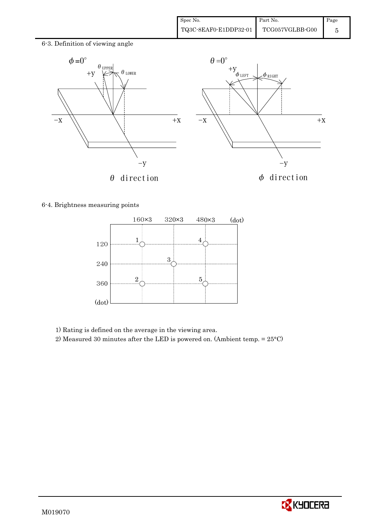6-3. Definition of viewing angle



6-4. Brightness measuring points



1) Rating is defined on the average in the viewing area.

2) Measured 30 minutes after the LED is powered on. (Ambient temp. = 25°C)

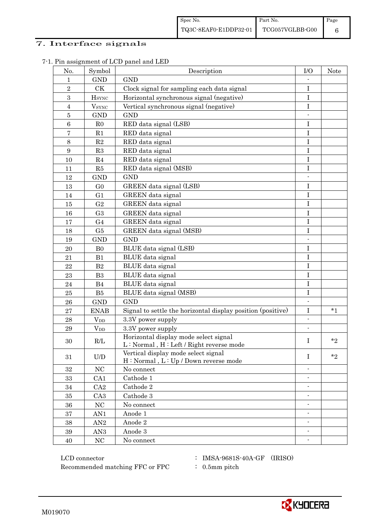## 7. Interface signals

| No.              | Symbol                                                   | Description                                                                      | I/O                      | Note      |
|------------------|----------------------------------------------------------|----------------------------------------------------------------------------------|--------------------------|-----------|
| $\mathbf{1}$     | <b>GND</b>                                               | <b>GND</b>                                                                       |                          |           |
| $\sqrt{2}$       | CK                                                       | Clock signal for sampling each data signal                                       | I                        |           |
| $\,3$            | <b>H</b> <sub>SYNC</sub>                                 | Horizontal synchronous signal (negative)                                         | I                        |           |
| $\overline{4}$   | $V_{\rm SYNC}$                                           | Vertical synchronous signal (negative)                                           | $\mathbf I$              |           |
| $\bf 5$          | <b>GND</b>                                               | <b>GND</b>                                                                       |                          |           |
| $\,6$            | R <sub>0</sub>                                           | RED data signal (LSB)                                                            | I                        |           |
| 7                | R1                                                       | RED data signal                                                                  | I                        |           |
| $8\,$            | R2                                                       | RED data signal                                                                  | I                        |           |
| $\boldsymbol{9}$ | R3                                                       | RED data signal                                                                  | $\mathbf I$              |           |
| 10               | R <sub>4</sub>                                           | RED data signal                                                                  | $\mathbf I$              |           |
| 11               | R5                                                       | RED data signal (MSB)                                                            | I                        |           |
| 12               | <b>GND</b>                                               | <b>GND</b>                                                                       | $\frac{1}{2}$            |           |
| 13               | G <sub>0</sub>                                           | GREEN data signal (LSB)                                                          | $\bf I$                  |           |
| 14               | G <sub>1</sub>                                           | GREEN data signal                                                                | I                        |           |
| 15               | G <sub>2</sub>                                           | GREEN data signal                                                                | I                        |           |
| 16               | G <sub>3</sub>                                           | GREEN data signal                                                                | I                        |           |
| 17               | G <sub>4</sub>                                           | GREEN data signal                                                                | $\mathbf I$              |           |
| 18               | G5                                                       | GREEN data signal (MSB)                                                          | I                        |           |
| 19               | <b>GND</b>                                               | <b>GND</b>                                                                       | $\frac{1}{2}$            |           |
| 20               | B <sub>0</sub>                                           | BLUE data signal (LSB)                                                           | $\bf I$                  |           |
| 21               | B1                                                       | BLUE data signal                                                                 | I                        |           |
| 22               | B <sub>2</sub>                                           | BLUE data signal                                                                 | I                        |           |
| 23               | B <sub>3</sub>                                           | BLUE data signal                                                                 | $\mathbf I$              |           |
| 24               | B4                                                       | <b>BLUE</b> data signal                                                          | $\rm I$                  |           |
| 25               | B5                                                       | BLUE data signal (MSB)                                                           | $\rm I$                  |           |
| 26               | <b>GND</b>                                               | <b>GND</b>                                                                       | $\blacksquare$           |           |
| 27               | <b>ENAB</b>                                              | Signal to settle the horizontal display position (positive)                      | $\bf I$                  | $^\star1$ |
| 28               | $V_{DD}$                                                 | 3.3V power supply                                                                | $\blacksquare$           |           |
| 29               | $V_{DD}$                                                 | 3.3V power supply                                                                | $\blacksquare$           |           |
| 30               | R/L                                                      | Horizontal display mode select signal<br>L: Normal, H: Left / Right reverse mode | I                        | $*_{2}$   |
| 31               | $\ensuremath{\mathrm{U}}\xspace/\ensuremath{\mathrm{D}}$ | Vertical display mode select signal<br>H: Normal, L: Up / Down reverse mode      | $\mathbf{I}$             | $*_{2}$   |
| 32               | NC                                                       | No connect                                                                       | $\frac{1}{2}$            |           |
| 33               | CA1                                                      | Cathode 1                                                                        |                          |           |
| 34               | CA <sub>2</sub>                                          | Cathode 2                                                                        | $\overline{\phantom{a}}$ |           |
| 35               | CA <sub>3</sub>                                          | Cathode 3                                                                        | $\blacksquare$           |           |
| 36               | NC                                                       | No connect                                                                       | $\overline{\phantom{a}}$ |           |
| $\rm 37$         | AN1                                                      | Anode 1                                                                          |                          |           |
| $38\,$           | AN2                                                      | Anode 2                                                                          |                          |           |
| 39               | AN <sub>3</sub>                                          | Anode 3                                                                          | $\overline{\phantom{a}}$ |           |
| 40               | $\rm NC$                                                 | No connect                                                                       | $\overline{\phantom{a}}$ |           |

7-1. Pin assignment of LCD panel and LED

 ${\rm LCD~connector} ~~:~{\rm IMSA\text{-}9681S\text{-}40A\text{-}GF}~~({\rm IRISO})$ Recommended matching FFC or FPC : 0.5mm pitch

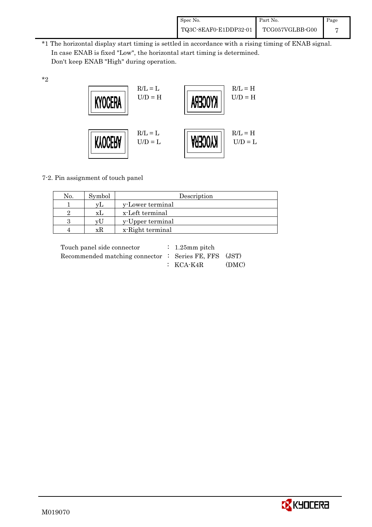| Spec No.              | Part No.        | Page |
|-----------------------|-----------------|------|
| TQ3C-8EAF0-E1DDP32-01 | TCG057VGLBB-G00 |      |

\*1 The horizontal display start timing is settled in accordance with a rising timing of ENAB signal. In case ENAB is fixed "Low", the horizontal start timing is determined. Don't keep ENAB "High" during operation.



7-2. Pin assignment of touch panel

\*2

| No. | Symbol | Description      |
|-----|--------|------------------|
|     |        | y-Lower terminal |
|     | ΧI     | x-Left terminal  |
|     | VI I   | y-Upper terminal |
|     |        | x-Right terminal |

| Touch panel side connector                            | $\therefore$ 1.25 mm pitch |       |
|-------------------------------------------------------|----------------------------|-------|
| Recommended matching connector : Series FE, FFS (JST) |                            |       |
|                                                       | $\colon$ KCA-K4R           | (DMC) |

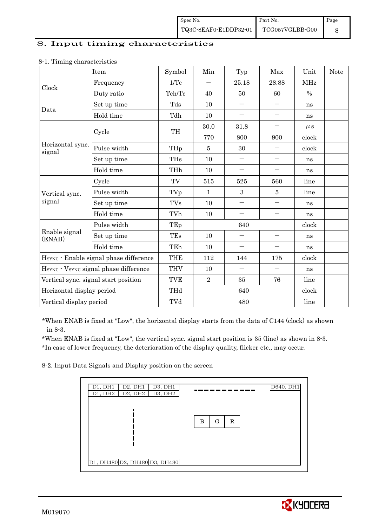### 8. Input timing characteristics

| o                                         | Item                                   | Symbol     | Min            | Typ                      | Max                                                                                                                                                                                                                       | Unit          | <b>Note</b> |
|-------------------------------------------|----------------------------------------|------------|----------------|--------------------------|---------------------------------------------------------------------------------------------------------------------------------------------------------------------------------------------------------------------------|---------------|-------------|
| Clock                                     | Frequency                              | 1/Tc       |                | 25.18                    | 28.88                                                                                                                                                                                                                     | <b>MHz</b>    |             |
|                                           | Duty ratio                             | Tch/Tc     | 40             | 50                       | 60                                                                                                                                                                                                                        | $\frac{0}{0}$ |             |
| Data                                      | Set up time                            | Tds        | 10             | $\overline{\phantom{0}}$ |                                                                                                                                                                                                                           | ns            |             |
|                                           | Hold time                              | Tdh        | 10             | $\overline{\phantom{0}}$ | $\overline{\phantom{0}}$<br>$\qquad \qquad -$<br>900<br>$\qquad \qquad -$<br>$\qquad \qquad -$<br>560<br>5<br>$\qquad \qquad -$<br>$\overline{\phantom{0}}$<br>$\qquad \qquad -$<br>175<br>$\overline{\phantom{0}}$<br>76 | ns            |             |
|                                           | Cycle                                  | TH         | 30.0           | 31.8                     |                                                                                                                                                                                                                           | $\mu$ s       |             |
|                                           |                                        |            | 770            | 800                      |                                                                                                                                                                                                                           | clock         |             |
| Horizontal sync.<br>signal                | Pulse width                            | THp        | $\overline{5}$ | 30                       |                                                                                                                                                                                                                           | clock         |             |
|                                           | Set up time                            | <b>THs</b> | 10             |                          |                                                                                                                                                                                                                           | ns            |             |
|                                           | Hold time                              | THh        | 10             | $\qquad \qquad -$        |                                                                                                                                                                                                                           | ns            |             |
| Vertical sync.<br>signal<br>Enable signal | Cycle                                  | TV         | 515            | 525                      |                                                                                                                                                                                                                           | line          |             |
|                                           | Pulse width                            | TVp        | 1              | 3                        |                                                                                                                                                                                                                           | line          |             |
|                                           | Set up time                            | <b>TVs</b> | 10             | $\overline{\phantom{0}}$ |                                                                                                                                                                                                                           | ns            |             |
|                                           | Hold time                              | TVh        | 10             | $\overline{\phantom{0}}$ |                                                                                                                                                                                                                           | ns            |             |
|                                           | Pulse width                            | TEp        | 640            |                          |                                                                                                                                                                                                                           | clock         |             |
| (ENAB)                                    | Set up time                            | TEs        | 10             |                          |                                                                                                                                                                                                                           | ns            |             |
|                                           | Hold time                              | TEh        | 10             | $\overline{\phantom{0}}$ |                                                                                                                                                                                                                           | ns            |             |
|                                           | HSYNC · Enable signal phase difference | <b>THE</b> | 112            | 144                      |                                                                                                                                                                                                                           | clock         |             |
|                                           | HSYNC · VSYNC signal phase difference  | <b>THV</b> | 10             | $\overline{\phantom{0}}$ |                                                                                                                                                                                                                           | ns            |             |
|                                           | Vertical sync. signal start position   | <b>TVE</b> | $\overline{2}$ | 35                       |                                                                                                                                                                                                                           | line          |             |
| Horizontal display period                 |                                        | THd        | 640            |                          |                                                                                                                                                                                                                           | clock         |             |
| Vertical display period                   |                                        | TVd        |                | 480                      |                                                                                                                                                                                                                           | line          |             |

#### 8-1. Timing characteristics

\*When ENAB is fixed at "Low", the horizontal display starts from the data of C144 (clock) as shown in 8-3.

 \*When ENAB is fixed at "Low", the vertical sync. signal start position is 35 (line) as shown in 8-3. \*In case of lower frequency, the deterioration of the display quality, flicker etc., may occur.

8-2. Input Data Signals and Display position on the screen

| D1, DH1<br>D2, DH1            | D3, DH1 |             | D640, DH1 |
|-------------------------------|---------|-------------|-----------|
| D1, DH2<br>D2, DH2            | D3, DH2 |             |           |
|                               |         |             |           |
|                               |         |             |           |
|                               |         |             |           |
|                               |         | G<br>в<br>R |           |
|                               |         |             |           |
|                               |         |             |           |
|                               |         |             |           |
|                               |         |             |           |
|                               |         |             |           |
| D1, DH480 D2, DH480 D3, DH480 |         |             |           |
|                               |         |             |           |

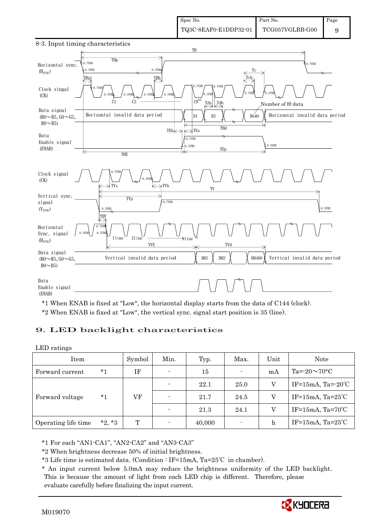



\*1 When ENAB is fixed at "Low", the horizontal display starts from the data of C144 (clock). \*2 When ENAB is fixed at "Low", the vertical sync. signal start position is 35 (line).

### 9. LED backlight characteristics

#### LED ratings

| Item                |          | Symbol | Min.                     | Typ.   | Max.           | Unit | Note                         |
|---------------------|----------|--------|--------------------------|--------|----------------|------|------------------------------|
| Forward current     | $*1$     | IF     | $\overline{\phantom{0}}$ | 15     | $\blacksquare$ | mA   | Ta= $-20 \sim 70$ °C         |
|                     | $*_{1}$  |        | $\overline{\phantom{0}}$ | 22.1   | 25.0           | V    | IF=15mA, Ta= $-20^{\circ}$ C |
| Forward voltage     |          | VF     | $\overline{\phantom{0}}$ | 21.7   | 24.5           | V    | IF=15mA, $Ta=25^{\circ}C$    |
|                     |          |        |                          | 21.3   | 24.1           | V    | IF=15mA, $Ta=70^{\circ}C$    |
| Operating life time | $*2, *3$ | T      |                          | 40,000 | ۰              | h    | IF=15mA, $Ta=25^{\circ}C$    |

\*1 For each "AN1-CA1", "AN2-CA2" and "AN3-CA3"

\*2 When brightness decrease 50% of initial brightness.

\*3 Life time is estimated data. (Condition : IF=15mA, Ta=25℃ in chamber).

 \* An input current below 5.0mA may reduce the brightness uniformity of the LED backlight. This is because the amount of light from each LED chip is different. Therefore, please evaluate carefully before finalizing the input current.

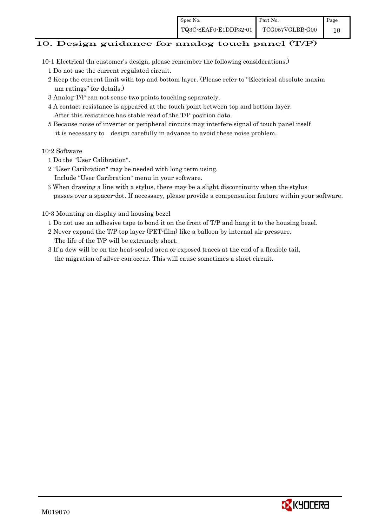# 10. Design guidance for analog touch panel (T/P)

- 10-1 Electrical (In customer's design, please remember the following considerations.)
	- 1 Do not use the current regulated circuit.
	- 2 Keep the current limit with top and bottom layer. (Please refer to "Electrical absolute maxim um ratings" for details.)
	- 3 Analog T/P can not sense two points touching separately.
	- 4 A contact resistance is appeared at the touch point between top and bottom layer. After this resistance has stable read of the T/P position data.
	- 5 Because noise of inverter or peripheral circuits may interfere signal of touch panel itself it is necessary to design carefully in advance to avoid these noise problem.

### 10-2 Software

- 1 Do the "User Calibration".
- 2 "User Caribration" may be needed with long term using.
- Include "User Caribration" menu in your software.
- 3 When drawing a line with a stylus, there may be a slight discontinuity when the stylus passes over a spacer-dot. If necessary, please provide a compensation feature within your software.

## 10-3 Mounting on display and housing bezel

- 1 Do not use an adhesive tape to bond it on the front of T/P and hang it to the housing bezel.
- 2 Never expand the T/P top layer (PET-film) like a balloon by internal air pressure. The life of the T/P will be extremely short.
- 3 If a dew will be on the heat-sealed area or exposed traces at the end of a flexible tail, the migration of silver can occur. This will cause sometimes a short circuit.

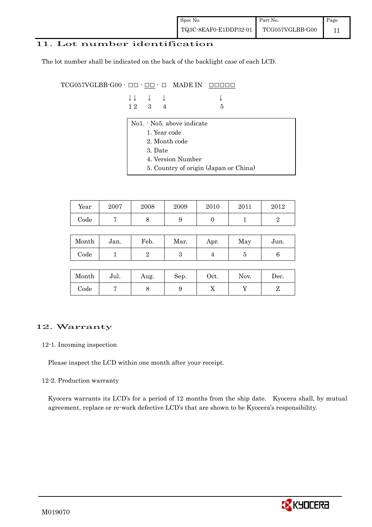## 11. Lot number identification

The lot number shall be indicated on the back of the backlight case of each LCD.

 $TCG057VGLBB-G00 \cdot \Box\Box \cdot \Box\Box \cdot \Box$  MADE IN  $\Box\Box\Box\Box\Box$ 

| $\downarrow \downarrow \quad \downarrow \quad \downarrow$ |  | $\downarrow$ |
|-----------------------------------------------------------|--|--------------|
| $12 \quad 3 \quad 4$                                      |  | $\sqrt{5}$   |

- No1. No5. above indicate
	- 1. Year code
	- 2. Month code
	- 3. Date
	- 4. Version Number
	- 5. Country of origin (Japan or China)

| Year | 2007 | 2008 | 2009 | 2010 | 2011 | $2012\,$ |
|------|------|------|------|------|------|----------|
| Code |      |      | ັ    |      |      |          |

| Month      | Jan. | Feb. | Mar. | Apr. | May | Jun. |
|------------|------|------|------|------|-----|------|
| $\rm Code$ |      |      | ౿    |      |     |      |

| Month      | Jul. | Aug. | Sep. | $\rm Oct.$ | Nov. | Dec. |
|------------|------|------|------|------------|------|------|
| $\rm Code$ |      |      |      | 77         |      |      |

## 12. Warranty

#### 12-1. Incoming inspection

Please inspect the LCD within one month after your receipt.

#### 12-2. Production warranty

 Kyocera warrants its LCD's for a period of 12 months from the ship date. Kyocera shall, by mutual agreement, replace or re-work defective LCD's that are shown to be Kyocera's responsibility.

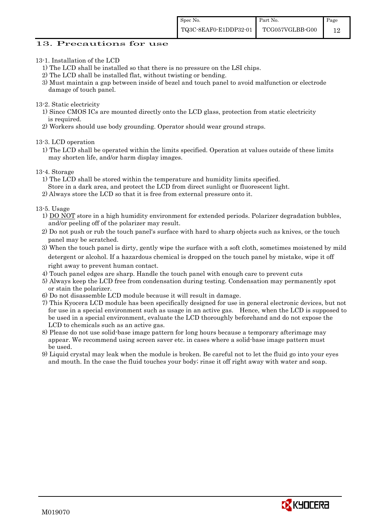#### 13. Precautions for use

- 13-1. Installation of the LCD
	- 1) The LCD shall be installed so that there is no pressure on the LSI chips.
	- 2) The LCD shall be installed flat, without twisting or bending.
	- 3) Must maintain a gap between inside of bezel and touch panel to avoid malfunction or electrode damage of touch panel.

13-2. Static electricity

- 1) Since CMOS ICs are mounted directly onto the LCD glass, protection from static electricity is required.
- 2) Workers should use body grounding. Operator should wear ground straps.

13-3. LCD operation

1) The LCD shall be operated within the limits specified. Operation at values outside of these limits may shorten life, and/or harm display images.

13-4. Storage

- 1) The LCD shall be stored within the temperature and humidity limits specified.
- Store in a dark area, and protect the LCD from direct sunlight or fluorescent light.
- 2) Always store the LCD so that it is free from external pressure onto it.

13-5. Usage

- 1) DO NOT store in a high humidity environment for extended periods. Polarizer degradation bubbles, and/or peeling off of the polarizer may result.
- 2) Do not push or rub the touch panel's surface with hard to sharp objects such as knives, or the touch panel may be scratched.
- 3) When the touch panel is dirty, gently wipe the surface with a soft cloth, sometimes moistened by mild detergent or alcohol. If a hazardous chemical is dropped on the touch panel by mistake, wipe it off right away to prevent human contact.
- 4) Touch panel edges are sharp. Handle the touch panel with enough care to prevent cuts
- 5) Always keep the LCD free from condensation during testing. Condensation may permanently spot or stain the polarizer.
- 6) Do not disassemble LCD module because it will result in damage.
- 7) This Kyocera LCD module has been specifically designed for use in general electronic devices, but not for use in a special environment such as usage in an active gas. Hence, when the LCD is supposed to be used in a special environment, evaluate the LCD thoroughly beforehand and do not expose the LCD to chemicals such as an active gas.
- 8) Please do not use solid-base image pattern for long hours because a temporary afterimage may appear. We recommend using screen saver etc. in cases where a solid-base image pattern must be used.
- 9) Liquid crystal may leak when the module is broken. Be careful not to let the fluid go into your eyes and mouth. In the case the fluid touches your body; rinse it off right away with water and soap.

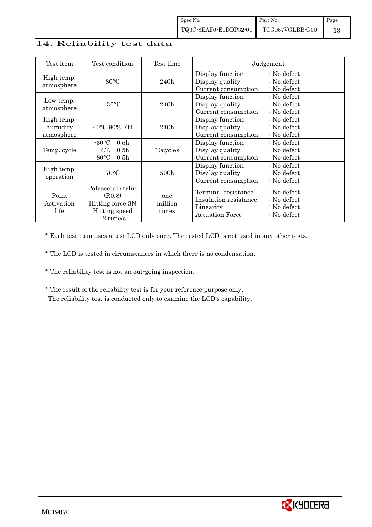## 14. Reliability test data

| Test item                            | Test condition                                                                                       | Test time               | Judgement                                                                           |                                                                                |  |
|--------------------------------------|------------------------------------------------------------------------------------------------------|-------------------------|-------------------------------------------------------------------------------------|--------------------------------------------------------------------------------|--|
| High temp.<br>atmosphere             | $80^{\circ}$ C                                                                                       | 240h                    | Display function<br>Display quality<br>Current consumption                          | $\therefore$ No defect<br>: No defect<br>: No defect                           |  |
| Low temp.<br>atmosphere              | $-30\degree C$                                                                                       | 240h                    | Display function<br>Display quality<br>Current consumption                          | $\therefore$ No defect<br>$\therefore$ No defect<br>$\therefore$ No defect     |  |
| High temp.<br>humidity<br>atmosphere | $40^{\circ}$ C 90% RH                                                                                | 240h                    | Display function<br>Display quality<br>Current consumption                          | $\therefore$ No defect<br>$\therefore$ No defect<br>$\therefore$ No defect     |  |
| Temp. cycle                          | 0.5 <sub>h</sub><br>$-30\degree C$<br>R.T.<br>0.5 <sub>h</sub><br>$80^{\circ}$ C<br>0.5 <sub>h</sub> | 10cycles                | Display function<br>Display quality<br>Current consumption                          | $\therefore$ No defect<br>$\therefore$ No defect<br>$\therefore$ No defect     |  |
| High temp.<br>operation              | $70^{\circ}$ C                                                                                       | 500 <sub>h</sub>        | Display function<br>Display quality<br>Current consumption                          | $\therefore$ No defect<br>: No defect<br>: No defect                           |  |
| Point<br>Activation<br>life          | Polyacetal stylus<br>(R0.8)<br>Hitting force 3N<br>Hitting speed<br>2 time/s                         | one<br>million<br>times | Terminal resistance<br>Insulation resistance<br>Linearity<br><b>Actuation Force</b> | : No defect<br>$\therefore$ No defect<br>: No defect<br>$\therefore$ No defect |  |

\* Each test item uses a test LCD only once. The tested LCD is not used in any other tests.

\* The LCD is tested in circumstances in which there is no condensation.

\* The reliability test is not an out-going inspection.

 \* The result of the reliability test is for your reference purpose only. The reliability test is conducted only to examine the LCD's capability.

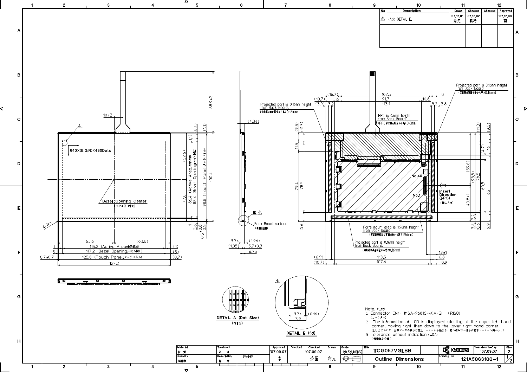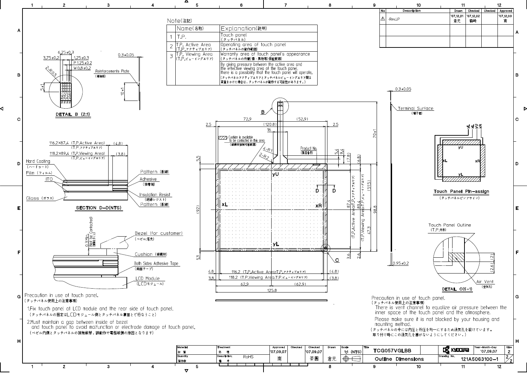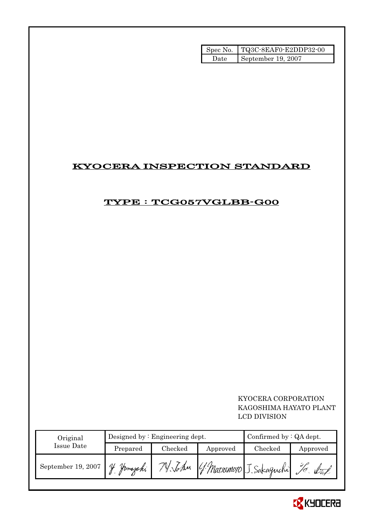|        | Spec No.   TQ3C-8EAF0-E2DDP32-00 |
|--------|----------------------------------|
| Date l | September 19, 2007               |

# KYOCERA INSPECTION STANDARD

# TYPE : TCG057VGLBB-G00

## KYOCERA CORPORATION KAGOSHIMA HAYATO PLANT LCD DIVISION

| Original           |          | Designed by $:$ Engineering dept. |          | Confirmed by $:QA$ dept. |          |  |
|--------------------|----------|-----------------------------------|----------|--------------------------|----------|--|
| Issue Date         | Prepared | Checked                           | Approved | Checked                  | Approved |  |
| September 19, 2007 | Homazaki |                                   |          | [ Matsumoto J. Sakaguchi |          |  |

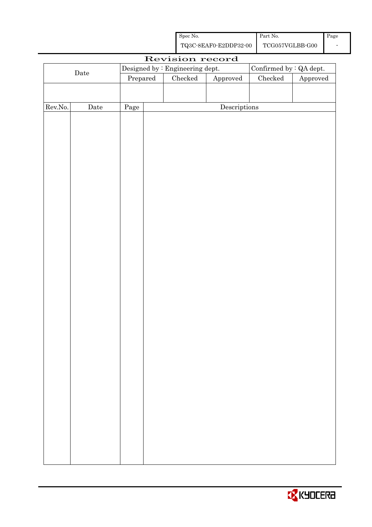| Spec No.              | Part No.        | Page |
|-----------------------|-----------------|------|
| TQ3C-8EAF0-E2DDP32-00 | TCG057VGLBB-G00 |      |

|         |             |          | Revision record                 |                        |                         |          |
|---------|-------------|----------|---------------------------------|------------------------|-------------------------|----------|
|         |             |          | Designed by : Engineering dept. |                        | Confirmed by : QA dept. |          |
|         | $\rm{Date}$ | Prepared | Checked                         | ${\Large\bf Approved}$ | $\rm Checked$           | Approved |
|         |             |          |                                 |                        |                         |          |
|         |             |          |                                 |                        |                         |          |
| Rev.No. | $\rm{Date}$ | Page     |                                 | Descriptions           |                         |          |
|         |             |          |                                 |                        |                         |          |
|         |             |          |                                 |                        |                         |          |
|         |             |          |                                 |                        |                         |          |
|         |             |          |                                 |                        |                         |          |
|         |             |          |                                 |                        |                         |          |
|         |             |          |                                 |                        |                         |          |
|         |             |          |                                 |                        |                         |          |
|         |             |          |                                 |                        |                         |          |
|         |             |          |                                 |                        |                         |          |
|         |             |          |                                 |                        |                         |          |
|         |             |          |                                 |                        |                         |          |
|         |             |          |                                 |                        |                         |          |
|         |             |          |                                 |                        |                         |          |
|         |             |          |                                 |                        |                         |          |
|         |             |          |                                 |                        |                         |          |
|         |             |          |                                 |                        |                         |          |
|         |             |          |                                 |                        |                         |          |
|         |             |          |                                 |                        |                         |          |
|         |             |          |                                 |                        |                         |          |
|         |             |          |                                 |                        |                         |          |
|         |             |          |                                 |                        |                         |          |
|         |             |          |                                 |                        |                         |          |
|         |             |          |                                 |                        |                         |          |
|         |             |          |                                 |                        |                         |          |
|         |             |          |                                 |                        |                         |          |
|         |             |          |                                 |                        |                         |          |
|         |             |          |                                 |                        |                         |          |
|         |             |          |                                 |                        |                         |          |
|         |             |          |                                 |                        |                         |          |
|         |             |          |                                 |                        |                         |          |
|         |             |          |                                 |                        |                         |          |
|         |             |          |                                 |                        |                         |          |
|         |             |          |                                 |                        |                         |          |
|         |             |          |                                 |                        |                         |          |
|         |             |          |                                 |                        |                         |          |
|         |             |          |                                 |                        |                         |          |

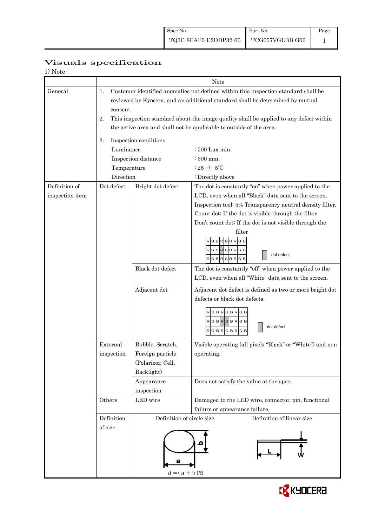| 1) Note         |                |                           |                                                                                                                                                                     |  |  |  |  |  |
|-----------------|----------------|---------------------------|---------------------------------------------------------------------------------------------------------------------------------------------------------------------|--|--|--|--|--|
|                 |                | Note                      |                                                                                                                                                                     |  |  |  |  |  |
| General         | 1.<br>consent. |                           | Customer identified anomalies not defined within this inspection standard shall be<br>reviewed by Kyocera, and an additional standard shall be determined by mutual |  |  |  |  |  |
|                 | 2.             |                           | This inspection standard about the image quality shall be applied to any defect within<br>the active area and shall not be applicable to outside of the area.       |  |  |  |  |  |
|                 |                |                           |                                                                                                                                                                     |  |  |  |  |  |
|                 | 3.             | Inspection conditions     |                                                                                                                                                                     |  |  |  |  |  |
|                 | Luminance      |                           | : 500 Lux min.                                                                                                                                                      |  |  |  |  |  |
|                 |                | Inspection distance       | $:300$ mm.                                                                                                                                                          |  |  |  |  |  |
|                 | Temperature    |                           | : 25 $\pm$ 5°C                                                                                                                                                      |  |  |  |  |  |
|                 | Direction      |                           | : Directly above                                                                                                                                                    |  |  |  |  |  |
| Definition of   | Dot defect     | Bright dot defect         | The dot is constantly "on" when power applied to the                                                                                                                |  |  |  |  |  |
| inspection item |                |                           | LCD, even when all "Black" data sent to the screen.                                                                                                                 |  |  |  |  |  |
|                 |                |                           | Inspection tool: 5% Transparency neutral density filter.                                                                                                            |  |  |  |  |  |
|                 |                |                           | Count dot: If the dot is visible through the filter                                                                                                                 |  |  |  |  |  |
|                 |                |                           | Don't count dot: If the dot is not visible through the<br>filter                                                                                                    |  |  |  |  |  |
|                 |                |                           | R G B R G B R G<br>RGBRGBRGB<br>dot defect<br>RGBRGBRGB                                                                                                             |  |  |  |  |  |
|                 |                | Black dot defect          | The dot is constantly "off" when power applied to the<br>LCD, even when all "White" data sent to the screen.                                                        |  |  |  |  |  |
|                 |                |                           |                                                                                                                                                                     |  |  |  |  |  |
|                 |                | Adjacent dot              | Adjacent dot defect is defined as two or more bright dot<br>defects or black dot defects.                                                                           |  |  |  |  |  |
|                 |                |                           | R G B R G B R G<br>RGBRGBRGB<br>dot defect<br>GBRGBR<br>G B                                                                                                         |  |  |  |  |  |
|                 | External       | Bubble, Scratch,          | Visible operating (all pixels "Black" or "White") and non                                                                                                           |  |  |  |  |  |
|                 | inspection     | Foreign particle          | operating.                                                                                                                                                          |  |  |  |  |  |
|                 |                | (Polarizer, Cell,         |                                                                                                                                                                     |  |  |  |  |  |
|                 |                | Backlight)                |                                                                                                                                                                     |  |  |  |  |  |
|                 |                | Appearance                | Does not satisfy the value at the spec.                                                                                                                             |  |  |  |  |  |
|                 |                | inspection                |                                                                                                                                                                     |  |  |  |  |  |
|                 | Others         | LED wire                  | Damaged to the LED wire, connector, pin, functional<br>failure or appearance failure.                                                                               |  |  |  |  |  |
|                 | Definition     | Definition of circle size | Definition of linear size                                                                                                                                           |  |  |  |  |  |
|                 | of size        | а                         |                                                                                                                                                                     |  |  |  |  |  |
|                 |                | $d = (a + b)/2$           |                                                                                                                                                                     |  |  |  |  |  |

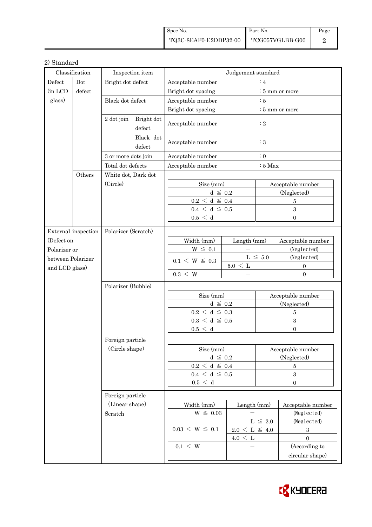| Spec No.              | Part No.        | Page |
|-----------------------|-----------------|------|
| TQ3C-8EAF0-E2DDP32-00 | TCG057VGLBB-G00 |      |

### 2) Standard

| Classification    |                      | Inspection item     |                      | Judgement standard                     |                         |                         |                            |  |
|-------------------|----------------------|---------------------|----------------------|----------------------------------------|-------------------------|-------------------------|----------------------------|--|
| Defect            | Dot                  | Bright dot defect   |                      | Acceptable number<br>:4                |                         |                         |                            |  |
| (in LCD           | defect               |                     |                      | Bright dot spacing                     |                         |                         | : 5 mm or more             |  |
| glass)            |                      | Black dot defect    |                      | Acceptable number<br>$\therefore$ 5    |                         |                         |                            |  |
|                   |                      |                     |                      | Bright dot spacing                     |                         |                         | $\frac{1}{2}$ 5 mm or more |  |
|                   |                      | 2 dot join          | Bright dot<br>defect | Acceptable number<br>Acceptable number |                         | $\colon 2$              |                            |  |
|                   |                      |                     | Black dot<br>defect  |                                        |                         | $\therefore$ 3          |                            |  |
|                   |                      | 3 or more dots join |                      | Acceptable number                      |                         | $\colon 0$              |                            |  |
|                   |                      | Total dot defects   |                      | Acceptable number                      |                         | $:5$ Max                |                            |  |
|                   | Others               | White dot, Dark dot |                      |                                        |                         |                         |                            |  |
|                   |                      | (Circle)            |                      | Size (mm)                              |                         |                         | Acceptable number          |  |
|                   |                      |                     |                      | $d \leq 0.2$                           |                         |                         | (Neglected)                |  |
|                   |                      |                     |                      | $0.2 \leq d \leq 0.4$                  |                         |                         | 5                          |  |
|                   |                      |                     |                      | $0.4\,<\,\mathrm{d}\,\leq\,$ 0.5       |                         |                         | $\boldsymbol{3}$           |  |
|                   |                      |                     |                      | 0.5 < d                                |                         |                         | $\Omega$                   |  |
|                   | External inspection  | Polarizer (Scratch) |                      |                                        |                         |                         |                            |  |
| (Defect on        |                      |                     |                      | Width (mm)                             | Length (mm)             |                         | Acceptable number          |  |
| Polarizer or      |                      |                     |                      | $W \leq 0.1$                           |                         |                         | (Neglected)                |  |
| between Polarizer |                      |                     |                      |                                        |                         | $\mathrm{L}\,\leq\,5.0$ | (Neglected)                |  |
| and LCD glass)    |                      |                     |                      | $0.1 \le W \le 0.3$                    | $5.0 \leq L$            |                         | $\mathbf{0}$               |  |
|                   |                      |                     |                      | $0.3 \leq W$                           |                         |                         | $\overline{0}$             |  |
|                   |                      | Polarizer (Bubble)  |                      |                                        |                         |                         |                            |  |
|                   |                      |                     |                      | Size (mm)                              |                         |                         | Acceptable number          |  |
|                   |                      |                     |                      | $d \leq 0.2$                           |                         | (Neglected)             |                            |  |
|                   |                      |                     |                      | $0.2\,<\,\mathrm{d}\,\leq\,0.3$        |                         | $\bf 5$                 |                            |  |
|                   |                      |                     |                      | $0.3\,<\,\mathrm{d}\,\leq\,0.5$        |                         | $\sqrt{3}$              |                            |  |
|                   |                      |                     |                      | 0.5 < d                                |                         |                         | $\Omega$                   |  |
|                   |                      | Foreign particle    |                      |                                        |                         |                         |                            |  |
|                   |                      | (Circle shape)      |                      | Size (mm)                              |                         | Acceptable number       |                            |  |
|                   |                      |                     |                      | $d \leq 0.2$                           |                         | (Neglected)             |                            |  |
|                   |                      |                     |                      | $0.2\,<\,\mathrm{d}\,\leq\,0.4$        |                         | 5                       |                            |  |
|                   |                      |                     |                      | $0.4 \leq d \leq 0.5$                  |                         | $\boldsymbol{3}$        |                            |  |
|                   |                      |                     |                      | 0.5 < d                                |                         |                         | $\boldsymbol{0}$           |  |
| Foreign particle  |                      |                     |                      |                                        |                         |                         |                            |  |
|                   |                      | (Linear shape)      |                      | Width (mm)                             | Length (mm)             |                         | Acceptable number          |  |
|                   |                      | Scratch             |                      | $W~\leq~0.03$                          |                         |                         | (Neglected)                |  |
|                   |                      |                     |                      |                                        | $\mathrm{L}\,\leq\,2.0$ |                         | (Neglected)                |  |
|                   | $0.03 \le W \le 0.1$ |                     | $2.0 \le L \le 4.0$  |                                        | $\sqrt{3}$              |                         |                            |  |
|                   |                      |                     |                      |                                        | $4.0 \leq L$            |                         | $\boldsymbol{0}$           |  |
|                   |                      |                     |                      | $0.1 \leq W$                           |                         |                         | (According to              |  |
|                   |                      |                     |                      |                                        |                         |                         | circular shape)            |  |